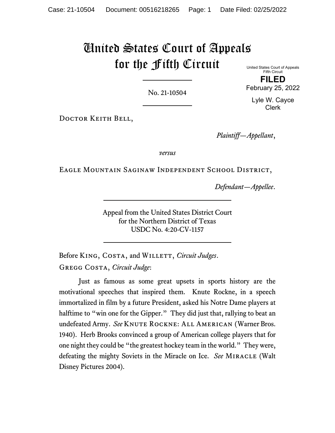# United States Court of Appeals for the Fifth Circuit

No. 21-10504

United States Court of Appeals Fifth Circuit **FILED**

February 25, 2022

Lyle W. Cayce Clerk

DOCTOR KEITH BELL,

*Plaintiff—Appellant*,

*versus*

Eagle Mountain Saginaw Independent School District,

*Defendant—Appellee*.

Appeal from the United States District Court for the Northern District of Texas USDC No. 4:20-CV-1157

Before KING, COSTA, and WILLETT, *Circuit Judges*. Gregg Costa, *Circuit Judge*:

Just as famous as some great upsets in sports history are the motivational speeches that inspired them. Knute Rockne, in a speech immortalized in film by a future President, asked his Notre Dame players at halftime to "win one for the Gipper." They did just that, rallying to beat an undefeated Army. See KNUTE ROCKNE: ALL AMERICAN (Warner Bros. 1940). Herb Brooks convinced a group of American college players that for one night they could be "the greatest hockey team in the world." They were, defeating the mighty Soviets in the Miracle on Ice. *See* Miracle (Walt Disney Pictures 2004).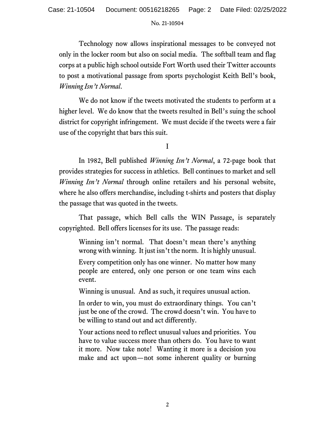Technology now allows inspirational messages to be conveyed not only in the locker room but also on social media. The softball team and flag corps at a public high school outside Fort Worth used their Twitter accounts to post a motivational passage from sports psychologist Keith Bell's book, *Winning Isn't Normal*.

We do not know if the tweets motivated the students to perform at a higher level. We do know that the tweets resulted in Bell's suing the school district for copyright infringement. We must decide if the tweets were a fair use of the copyright that bars this suit.

I

In 1982, Bell published *Winning Isn't Normal*, a 72-page book that provides strategies for success in athletics. Bell continues to market and sell *Winning Isn't Normal* through online retailers and his personal website, where he also offers merchandise, including t-shirts and posters that display the passage that was quoted in the tweets.

That passage, which Bell calls the WIN Passage, is separately copyrighted. Bell offers licenses for its use. The passage reads:

Winning isn't normal. That doesn't mean there's anything wrong with winning. It just isn't the norm. It is highly unusual.

Every competition only has one winner. No matter how many people are entered, only one person or one team wins each event.

Winning is unusual. And as such, it requires unusual action.

In order to win, you must do extraordinary things. You can't just be one of the crowd. The crowd doesn't win. You have to be willing to stand out and act differently.

Your actions need to reflect unusual values and priorities. You have to value success more than others do. You have to want it more. Now take note! Wanting it more is a decision you make and act upon—not some inherent quality or burning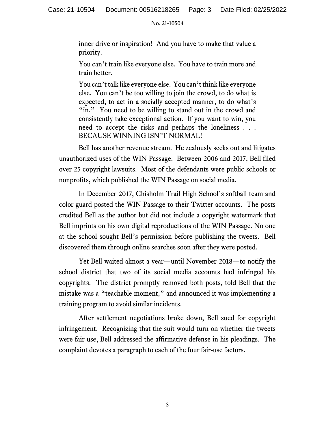inner drive or inspiration! And you have to make that value a priority.

You can't train like everyone else. You have to train more and train better.

You can't talk like everyone else. You can't think like everyone else. You can't be too willing to join the crowd, to do what is expected, to act in a socially accepted manner, to do what's "in." You need to be willing to stand out in the crowd and consistently take exceptional action. If you want to win, you need to accept the risks and perhaps the loneliness . . . BECAUSE WINNING ISN'T NORMAL!

Bell has another revenue stream. He zealously seeks out and litigates unauthorized uses of the WIN Passage. Between 2006 and 2017, Bell filed over 25 copyright lawsuits. Most of the defendants were public schools or nonprofits, which published the WIN Passage on social media.

In December 2017, Chisholm Trail High School's softball team and color guard posted the WIN Passage to their Twitter accounts. The posts credited Bell as the author but did not include a copyright watermark that Bell imprints on his own digital reproductions of the WIN Passage. No one at the school sought Bell's permission before publishing the tweets. Bell discovered them through online searches soon after they were posted.

Yet Bell waited almost a year—until November 2018—to notify the school district that two of its social media accounts had infringed his copyrights. The district promptly removed both posts, told Bell that the mistake was a "teachable moment," and announced it was implementing a training program to avoid similar incidents.

After settlement negotiations broke down, Bell sued for copyright infringement. Recognizing that the suit would turn on whether the tweets were fair use, Bell addressed the affirmative defense in his pleadings. The complaint devotes a paragraph to each of the four fair-use factors.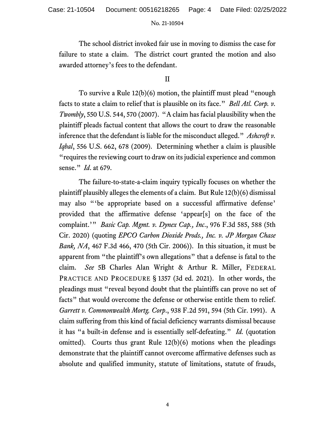The school district invoked fair use in moving to dismiss the case for failure to state a claim. The district court granted the motion and also awarded attorney's fees to the defendant.

# II

To survive a Rule 12(b)(6) motion, the plaintiff must plead "enough facts to state a claim to relief that is plausible on its face." *Bell Atl. Corp. v. Twombly*, 550 U.S. 544, 570 (2007). "A claim has facial plausibility when the plaintiff pleads factual content that allows the court to draw the reasonable inference that the defendant is liable for the misconduct alleged." *Ashcroft v. Iqbal*, 556 U.S. 662, 678 (2009). Determining whether a claim is plausible "requires the reviewing court to draw on its judicial experience and common sense." *Id*. at 679.

The failure-to-state-a-claim inquiry typically focuses on whether the plaintiff plausibly alleges the elements of a claim. But Rule 12(b)(6) dismissal may also "'be appropriate based on a successful affirmative defense' provided that the affirmative defense 'appear[s] on the face of the complaint.'" *Basic Cap. Mgmt. v. Dynex Cap., Inc*., 976 F.3d 585, 588 (5th Cir. 2020) (quoting *EPCO Carbon Dioxide Prods., Inc. v. JP Morgan Chase Bank, NA*, 467 F.3d 466, 470 (5th Cir. 2006)). In this situation, it must be apparent from "the plaintiff's own allegations" that a defense is fatal to the claim. *See* 5B Charles Alan Wright & Arthur R. Miller, FEDERAL PRACTICE AND PROCEDURE § 1357 (3d ed. 2021). In other words, the pleadings must "reveal beyond doubt that the plaintiffs can prove no set of facts" that would overcome the defense or otherwise entitle them to relief. *Garrett v. Commonwealth Mortg. Corp*., 938 F.2d 591, 594 (5th Cir. 1991). A claim suffering from this kind of facial deficiency warrants dismissal because it has "a built-in defense and is essentially self-defeating." *Id.* (quotation omitted). Courts thus grant Rule  $12(b)(6)$  motions when the pleadings demonstrate that the plaintiff cannot overcome affirmative defenses such as absolute and qualified immunity, statute of limitations, statute of frauds,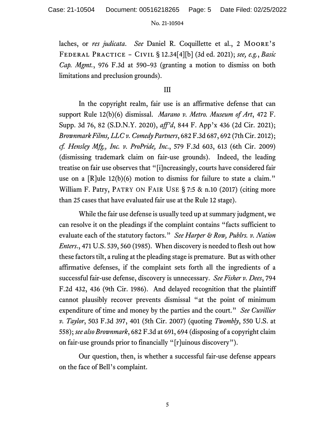laches, or *res judicata*. *See* Daniel R. Coquillette et al., 2 Moore's Federal Practice – Civil § 12.34[4][b] (3d ed. 2021); *see, e.g.*, *Basic Cap. Mgmt.*, 976 F.3d at 590–93 (granting a motion to dismiss on both limitations and preclusion grounds).

## III

In the copyright realm, fair use is an affirmative defense that can support Rule 12(b)(6) dismissal. *Marano v. Metro. Museum of Art*, 472 F. Supp. 3d 76, 82 (S.D.N.Y. 2020), *aff'd*, 844 F. App'x 436 (2d Cir. 2021); *Brownmark Films, LLC v. Comedy Partners*, 682 F.3d 687, 692 (7th Cir. 2012); *cf. Hensley Mfg., Inc. v. ProPride, Inc*., 579 F.3d 603, 613 (6th Cir. 2009) (dismissing trademark claim on fair-use grounds). Indeed, the leading treatise on fair use observes that "[i]ncreasingly, courts have considered fair use on a [R]ule 12(b)(6) motion to dismiss for failure to state a claim." William F. Patry, PATRY ON FAIR USE § 7:5 & n.10 (2017) (citing more than 25 cases that have evaluated fair use at the Rule 12 stage).

While the fair use defense is usually teed up at summary judgment, we can resolve it on the pleadings if the complaint contains "facts sufficient to evaluate each of the statutory factors." *See Harper & Row, Publrs. v. Nation Enters*., 471 U.S. 539, 560 (1985). When discovery is needed to flesh out how these factors tilt, a ruling at the pleading stage is premature. But as with other affirmative defenses, if the complaint sets forth all the ingredients of a successful fair-use defense, discovery is unnecessary. *See Fisher v. Dees*, 794 F.2d 432, 436 (9th Cir. 1986). And delayed recognition that the plaintiff cannot plausibly recover prevents dismissal "at the point of minimum expenditure of time and money by the parties and the court." *See Cuvillier v. Taylor*, 503 F.3d 397, 401 (5th Cir. 2007) (quoting *Twombly*, 550 U.S. at 558); *see also Brownmark*, 682 F.3d at 691, 694 (disposing of a copyright claim on fair-use grounds prior to financially "[r]uinous discovery").

Our question, then, is whether a successful fair-use defense appears on the face of Bell's complaint.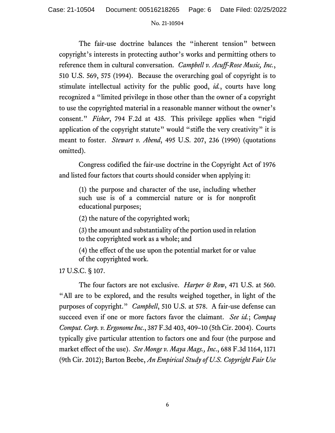The fair-use doctrine balances the "inherent tension" between copyright's interests in protecting author's works and permitting others to reference them in cultural conversation. *Campbell v. Acuff-Rose Music, Inc.*, 510 U.S. 569, 575 (1994). Because the overarching goal of copyright is to stimulate intellectual activity for the public good, *id.*, courts have long recognized a "limited privilege in those other than the owner of a copyright to use the copyrighted material in a reasonable manner without the owner's consent." *Fisher*, 794 F.2d at 435. This privilege applies when "rigid application of the copyright statute" would "stifle the very creativity" it is meant to foster. *Stewart v. Abend*, 495 U.S. 207, 236 (1990) (quotations omitted).

Congress codified the fair-use doctrine in the Copyright Act of 1976 and listed four factors that courts should consider when applying it:

(1) the purpose and character of the use, including whether such use is of a commercial nature or is for nonprofit educational purposes;

(2) the nature of the copyrighted work;

(3) the amount and substantiality of the portion used in relation to the copyrighted work as a whole; and

(4) the effect of the use upon the potential market for or value of the copyrighted work.

17 U.S.C. § 107.

The four factors are not exclusive. *Harper & Row*, 471 U.S. at 560. "All are to be explored, and the results weighed together, in light of the purposes of copyright." *Campbell*, 510 U.S. at 578. A fair-use defense can succeed even if one or more factors favor the claimant. *See id.*; *Compaq Comput. Corp. v. Ergonome Inc*., 387 F.3d 403, 409–10 (5th Cir. 2004). Courts typically give particular attention to factors one and four (the purpose and market effect of the use). *See Monge v. Maya Mags., Inc*., 688 F.3d 1164, 1171 (9th Cir. 2012); Barton Beebe, *An Empirical Study of U.S. Copyright Fair Use*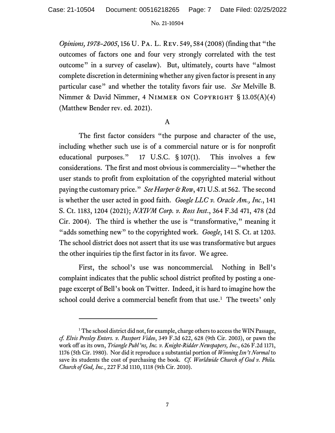*Opinions, 1978–2005*, 156 U. Pa. L. Rev. 549, 584 (2008)(finding that "the outcomes of factors one and four very strongly correlated with the test outcome" in a survey of caselaw). But, ultimately, courts have "almost complete discretion in determining whether any given factor is present in any particular case" and whether the totality favors fair use. *See* Melville B. Nimmer & David Nimmer, 4 NIMMER ON COPYRIGHT § 13.05(A)(4) (Matthew Bender rev. ed. 2021).

# A

The first factor considers "the purpose and character of the use, including whether such use is of a commercial nature or is for nonprofit educational purposes." 17 U.S.C. § 107(1). This involves a few considerations. The first and most obvious is commerciality—"whether the user stands to profit from exploitation of the copyrighted material without paying the customary price." *See Harper & Row*, 471 U.S. at 562. The second is whether the user acted in good faith. *Google LLC v. Oracle Am., Inc*., 141 S. Ct. 1183, 1204 (2021); *NXIVM Corp. v. Ross Inst*., 364 F.3d 471, 478 (2d Cir. 2004). The third is whether the use is "transformative," meaning it "adds something new" to the copyrighted work. *Google*, 141 S. Ct. at 1203. The school district does not assert that its use was transformative but argues the other inquiries tip the first factor in its favor. We agree.

First, the school's use was noncommercial*.* Nothing in Bell's complaint indicates that the public school district profited by posting a onepage excerpt of Bell's book on Twitter. Indeed, it is hard to imagine how the school could derive a commercial benefit from that use.<sup>[1](#page-6-0)</sup> The tweets' only

<span id="page-6-0"></span><sup>&</sup>lt;sup>1</sup> The school district did not, for example, charge others to access the WIN Passage, *cf. Elvis Presley Enters. v. Passport Video*, 349 F.3d 622, 628 (9th Cir. 2003), or pawn the work off as its own, *Triangle Publ'ns, Inc. v. Knight-Ridder Newspapers, Inc*., 626 F.2d 1171, 1176 (5th Cir. 1980). Nor did it reproduce a substantial portion of *Winning Isn't Normal* to save its students the cost of purchasing the book. *Cf. Worldwide Church of God v. Phila. Church of God, Inc.*, 227 F.3d 1110, 1118 (9th Cir. 2010).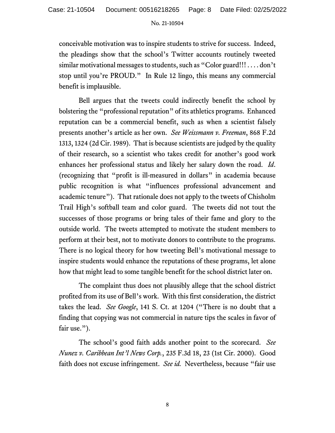conceivable motivation was to inspire students to strive for success. Indeed, the pleadings show that the school's Twitter accounts routinely tweeted similar motivational messages to students, such as "Color guard!!! . . . . don't stop until you're PROUD." In Rule 12 lingo, this means any commercial benefit is implausible.

Bell argues that the tweets could indirectly benefit the school by bolstering the "professional reputation" of its athletics programs. Enhanced reputation can be a commercial benefit, such as when a scientist falsely presents another's article as her own. *See Weissmann v. Freeman*, 868 F.2d 1313, 1324 (2d Cir. 1989). That is because scientists are judged by the quality of their research, so a scientist who takes credit for another's good work enhances her professional status and likely her salary down the road. *Id*. (recognizing that "profit is ill-measured in dollars" in academia because public recognition is what "influences professional advancement and academic tenure"). That rationale does not apply to the tweets of Chisholm Trail High's softball team and color guard. The tweets did not tout the successes of those programs or bring tales of their fame and glory to the outside world. The tweets attempted to motivate the student members to perform at their best, not to motivate donors to contribute to the programs. There is no logical theory for how tweeting Bell's motivational message to inspire students would enhance the reputations of these programs, let alone how that might lead to some tangible benefit for the school district later on.

The complaint thus does not plausibly allege that the school district profited from its use of Bell's work. With this first consideration, the district takes the lead. *See Google*, 141 S. Ct. at 1204 ("There is no doubt that a finding that copying was not commercial in nature tips the scales in favor of fair use.").

The school's good faith adds another point to the scorecard. *See Nunez v. Caribbean Int'l News Corp.*, 235 F.3d 18, 23 (1st Cir. 2000). Good faith does not excuse infringement. *See id.* Nevertheless, because "fair use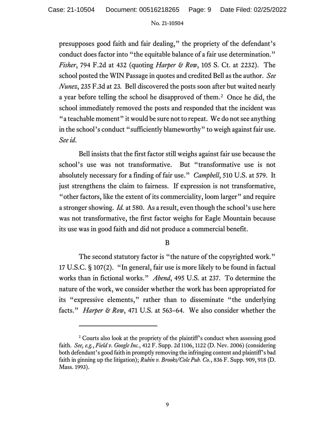presupposes good faith and fair dealing," the propriety of the defendant's conduct does factor into "the equitable balance of a fair use determination." *Fisher*, 794 F.2d at 432 (quoting *Harper & Row*, 105 S. Ct. at 2232). The school posted the WIN Passage in quotes and credited Bell as the author. *See Nunez*, 235 F.3d at 23*.*Bell discovered the posts soon after but waited nearly a year before telling the school he disapproved of them. [2](#page-8-0) Once he did, the school immediately removed the posts and responded that the incident was "a teachable moment" it would be sure not to repeat. We do not see anything in the school's conduct "sufficiently blameworthy" to weigh against fair use. *See id*.

Bell insists that the first factor still weighs against fair use because the school's use was not transformative. But "transformative use is not absolutely necessary for a finding of fair use." *Campbell*, 510 U.S. at 579. It just strengthens the claim to fairness. If expression is not transformative, "other factors, like the extent of its commerciality, loom larger" and require a stronger showing. *Id.* at 580.As a result, even though the school's use here was not transformative, the first factor weighs for Eagle Mountain because its use was in good faith and did not produce a commercial benefit.

# B

The second statutory factor is "the nature of the copyrighted work." 17 U.S.C. § 107(2). "In general, fair use is more likely to be found in factual works than in fictional works." *Abend*, 495 U.S. at 237. To determine the nature of the work, we consider whether the work has been appropriated for its "expressive elements," rather than to disseminate "the underlying facts." *Harper & Row*, 471 U.S. at 563–64. We also consider whether the

<span id="page-8-0"></span><sup>&</sup>lt;sup>2</sup> Courts also look at the propriety of the plaintiff's conduct when assessing good faith. *See, e.g.*, *Field v. Google Inc.*, 412 F. Supp. 2d 1106, 1122 (D. Nev. 2006) (considering both defendant's good faith in promptly removing the infringing content and plaintiff's bad faith in ginning up the litigation); *Rubin v. Brooks/Cole Pub. Co.*, 836 F. Supp. 909, 918 (D. Mass. 1993).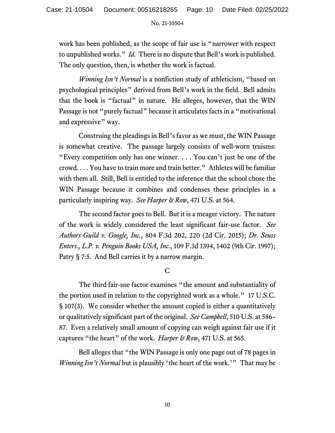work has been published, as the scope of fair use is "narrower with respect to unpublished works." *Id.* There is no dispute that Bell's work is published. The only question, then, is whether the work is factual.

*Winning Isn't Normal* is a nonfiction study of athleticism, "based on psychological principles" derived from Bell's work in the field. Bell admits that the book is "factual" in nature. He alleges, however, that the WIN Passage is not "purely factual" because it articulates facts in a "motivational and expressive" way.

Construing the pleadings in Bell's favor as we must, the WIN Passage is somewhat creative. The passage largely consists of well-worn truisms: "Every competition only has one winner. . . . You can't just be one of the crowd. . . . You have to train more and train better." Athletes will be familiar with them all. Still, Bell is entitled to the inference that the school chose the WIN Passage because it combines and condenses these principles in a particularly inspiring way. *See Harper & Row*, 471 U.S. at 564.

The second factor goes to Bell. But it is a meager victory. The nature of the work is widely considered the least significant fair-use factor. *See Authors Guild v. Google, Inc.*, 804 F.3d 202, 220 (2d Cir. 2015); *Dr. Seuss Enters., L.P. v. Penguin Books USA, Inc*., 109 F.3d 1394, 1402 (9th Cir. 1997); Patry § 7:5. And Bell carries it by a narrow margin.

C

The third fair-use factor examines "the amount and substantiality of the portion used in relation to the copyrighted work as a whole." 17 U.S.C. § 107(3). We consider whether the amount copied is either a quantitatively or qualitatively significant part of the original. *See Campbell*, 510 U.S. at 586– 87. Even a relatively small amount of copying can weigh against fair use if it captures "the heart" of the work. *Harper & Row*, 471 U.S. at 565.

Bell alleges that "the WIN Passage is only one page out of 78 pages in *Winning Isn't Normal* but is plausibly 'the heart of the work.'" That may be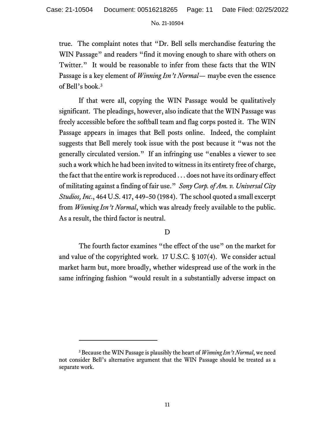true. The complaint notes that "Dr. Bell sells merchandise featuring the WIN Passage" and readers "find it moving enough to share with others on Twitter." It would be reasonable to infer from these facts that the WIN Passage is a key element of *Winning Isn't Normal—* maybe even the essence of Bell's book.[3](#page-10-0)

If that were all, copying the WIN Passage would be qualitatively significant. The pleadings, however, also indicate that the WIN Passage was freely accessible before the softball team and flag corps posted it. The WIN Passage appears in images that Bell posts online. Indeed, the complaint suggests that Bell merely took issue with the post because it "was not the generally circulated version." If an infringing use "enables a viewer to see such a work which he had been invited to witness in its entirety free of charge, the fact that the entire work is reproduced . . . does not have its ordinary effect of militating against a finding of fair use." *Sony Corp. of Am. v. Universal City Studios, Inc*., 464 U.S. 417, 449–50 (1984). The school quoted a small excerpt from *Winning Isn't Normal*, which was already freely available to the public. As a result, the third factor is neutral.

# D

The fourth factor examines "the effect of the use" on the market for and value of the copyrighted work. 17 U.S.C. § 107(4). We consider actual market harm but, more broadly, whether widespread use of the work in the same infringing fashion "would result in a substantially adverse impact on

<span id="page-10-0"></span><sup>3</sup> Because the WIN Passage is plausibly the heart of *Winning Isn't Normal*, we need not consider Bell's alternative argument that the WIN Passage should be treated as a separate work.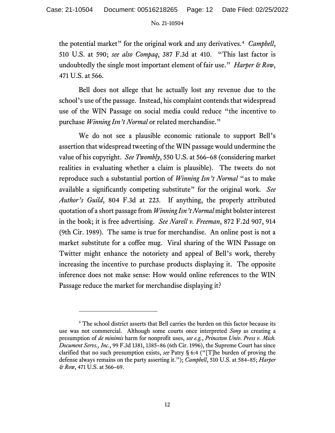the potential market" for the original work and any derivatives.[4](#page-11-0) *Campbell*, 510 U.S. at 590; *see also Compaq*, 387 F.3d at 410. "This last factor is undoubtedly the single most important element of fair use." *Harper & Row*, 471 U.S. at 566.

Bell does not allege that he actually lost any revenue due to the school's use of the passage. Instead, his complaint contends that widespread use of the WIN Passage on social media could reduce "the incentive to purchase *Winning Isn't Normal* or related merchandise."

We do not see a plausible economic rationale to support Bell's assertion that widespread tweeting of the WIN passage would undermine the value of his copyright. *See Twombly*, 550 U.S. at 566–68 (considering market realities in evaluating whether a claim is plausible). The tweets do not reproduce such a substantial portion of *Winning Isn't Normal* "as to make available a significantly competing substitute" for the original work. *See Author's Guild*, 804 F.3d at 223. If anything, the properly attributed quotation of a short passage from *Winning Isn't Normal* might bolster interest in the book; it is free advertising. *See Narell v. Freeman*, 872 F.2d 907, 914 (9th Cir. 1989). The same is true for merchandise. An online post is not a market substitute for a coffee mug. Viral sharing of the WIN Passage on Twitter might enhance the notoriety and appeal of Bell's work, thereby increasing the incentive to purchase products displaying it. The opposite inference does not make sense: How would online references to the WIN Passage reduce the market for merchandise displaying it?

<span id="page-11-0"></span><sup>4</sup> The school district asserts that Bell carries the burden on this factor because its use was not commercial. Although some courts once interpreted *Sony* as creating a presumption of *de minimis* harm for nonprofit uses, *see e.g.*, *Princeton Univ. Press v. Mich. Document Servs., Inc.*, 99 F.3d 1381, 1385–86 (6th Cir. 1996), the Supreme Court has since clarified that no such presumption exists, *see* Patry § 6:4 ("[T]he burden of proving the defense always remains on the party asserting it."); *Campbell*, 510 U.S. at 584–85; *Harper & Row*, 471 U.S. at 566–69.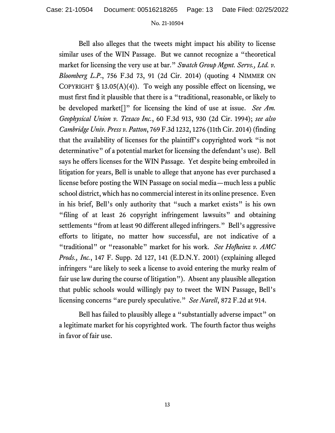Bell also alleges that the tweets might impact his ability to license similar uses of the WIN Passage. But we cannot recognize a "theoretical market for licensing the very use at bar." *Swatch Group Mgmt. Servs., Ltd. v. Bloomberg L.P*., 756 F.3d 73, 91 (2d Cir. 2014) (quoting 4 NIMMER ON COPYRIGHT § 13.05(A)(4)).To weigh any possible effect on licensing, we must first find it plausible that there is a "traditional, reasonable, or likely to be developed market[]" for licensing the kind of use at issue. *See Am. Geophysical Union v. Texaco Inc.*, 60 F.3d 913, 930 (2d Cir. 1994); *see also Cambridge Univ. Press v. Patton*, 769 F.3d 1232, 1276 (11th Cir. 2014) (finding that the availability of licenses for the plaintiff's copyrighted work "is not determinative" of a potential market for licensing the defendant's use). Bell says he offers licenses for the WIN Passage. Yet despite being embroiled in litigation for years, Bell is unable to allege that anyone has ever purchased a license before posting the WIN Passage on social media—much less a public school district, which has no commercial interest in its online presence. Even in his brief, Bell's only authority that "such a market exists" is his own "filing of at least 26 copyright infringement lawsuits" and obtaining settlements "from at least 90 different alleged infringers." Bell's aggressive efforts to litigate, no matter how successful, are not indicative of a "traditional" or "reasonable" market for his work. *See Hofheinz v. AMC Prods., Inc.*, 147 F. Supp. 2d 127, 141 (E.D.N.Y. 2001) (explaining alleged infringers "are likely to seek a license to avoid entering the murky realm of fair use law during the course of litigation"). Absent any plausible allegation that public schools would willingly pay to tweet the WIN Passage, Bell's licensing concerns "are purely speculative." *See Narell*, 872 F.2d at 914.

Bell has failed to plausibly allege a "substantially adverse impact" on a legitimate market for his copyrighted work. The fourth factor thus weighs in favor of fair use.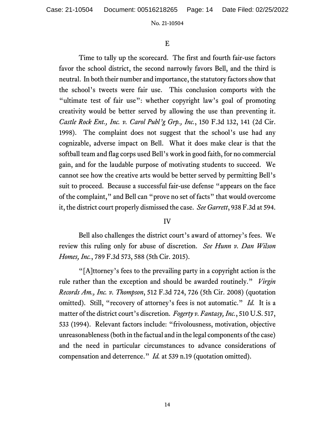# E

Time to tally up the scorecard. The first and fourth fair-use factors favor the school district, the second narrowly favors Bell, and the third is neutral. In both their number and importance, the statutory factors show that the school's tweets were fair use. This conclusion comports with the "ultimate test of fair use": whether copyright law's goal of promoting creativity would be better served by allowing the use than preventing it. *Castle Rock Ent., Inc. v. Carol Publ'g Grp., Inc.*, 150 F.3d 132, 141 (2d Cir. 1998). The complaint does not suggest that the school's use had any cognizable, adverse impact on Bell. What it does make clear is that the softball team and flag corps used Bell's work in good faith, for no commercial gain, and for the laudable purpose of motivating students to succeed. We cannot see how the creative arts would be better served by permitting Bell's suit to proceed. Because a successful fair-use defense "appears on the face of the complaint," and Bell can "prove no set of facts" that would overcome it, the district court properly dismissed the case. *See Garrett*, 938 F.3d at 594.

# IV

Bell also challenges the district court's award of attorney's fees. We review this ruling only for abuse of discretion. *See Hunn v. Dan Wilson Homes, Inc.*, 789 F.3d 573, 588 (5th Cir. 2015).

"[A]ttorney's fees to the prevailing party in a copyright action is the rule rather than the exception and should be awarded routinely." *Virgin Records Am., Inc. v. Thompson*, 512 F.3d 724, 726 (5th Cir. 2008) (quotation omitted). Still, "recovery of attorney's fees is not automatic." *Id.* It is a matter of the district court's discretion. *Fogerty v. Fantasy, Inc.*, 510 U.S. 517, 533 (1994). Relevant factors include: "frivolousness, motivation, objective unreasonableness (both in the factual and in the legal components of the case) and the need in particular circumstances to advance considerations of compensation and deterrence." *Id.* at 539 n.19 (quotation omitted).